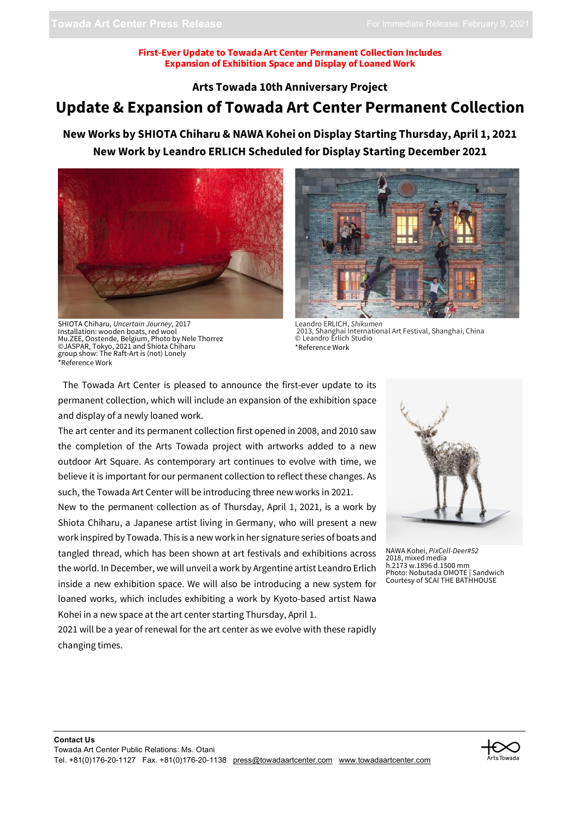#### **First-Ever Update to Towada Art Center Permanent Collection Includes Expansion of Exhibition Space and Display of Loaned Work**

**Arts Towada 10th Anniversary Project**

## **Update & Expansion of Towada Art Center Permanent Collection**

**New Works by SHIOTA Chiharu & NAWA Kohei on Display Starting Thursday, April 1, 2021 New Work by Leandro ERLICH Scheduled for Display Starting December 2021**



SHIOTA Chiharu, *Uncertain Journey*, 2017 Installation: wooden boats, red wool Mu.ZEE, Oostende, Belgium, Photo by Nele Thorrez ©JASPAR, Tokyo, 2021 and Shiota Chiharu group show: The Raft-Art is (not) Lonely \*Reference Work



Leandro ERLICH, *Shikumen* 2013, Shanghai International Art Festival, Shanghai, China © Leandro Erlich Studio \*Reference Work

The Towada Art Center is pleased to announce the first-ever update to its permanent collection, which will include an expansion of the exhibition space and display of a newly loaned work.

The art center and its permanent collection first opened in 2008, and 2010 saw the completion of the Arts Towada project with artworks added to a new outdoor Art Square. As contemporary art continues to evolve with time, we believe it is important for our permanent collection to reflect these changes. As such, the Towada Art Center will be introducing three new works in 2021.

New to the permanent collection as of Thursday, April 1, 2021, is a work by Shiota Chiharu, a Japanese artist living in Germany, who will present a new work inspired by Towada. This is a new work in her signature series of boats and tangled thread, which has been shown at art festivals and exhibitions across the world. In December, we will unveil a work by Argentine artist Leandro Erlich inside a new exhibition space. We will also be introducing a new system for loaned works, which includes exhibiting a work by Kyoto-based artist Nawa Kohei in a new space at the art center starting Thursday, April 1.

NAWA Kohei, *PixCell-Deer#52* 2018, mixed media h.2173 w.1896 d.1500 mm Photo: Nobutada OMOTE | Sandwich Courtesy of SCAI THE BATHHOUSE

2021 will be a year of renewal for the art center as we evolve with these rapidly changing times.

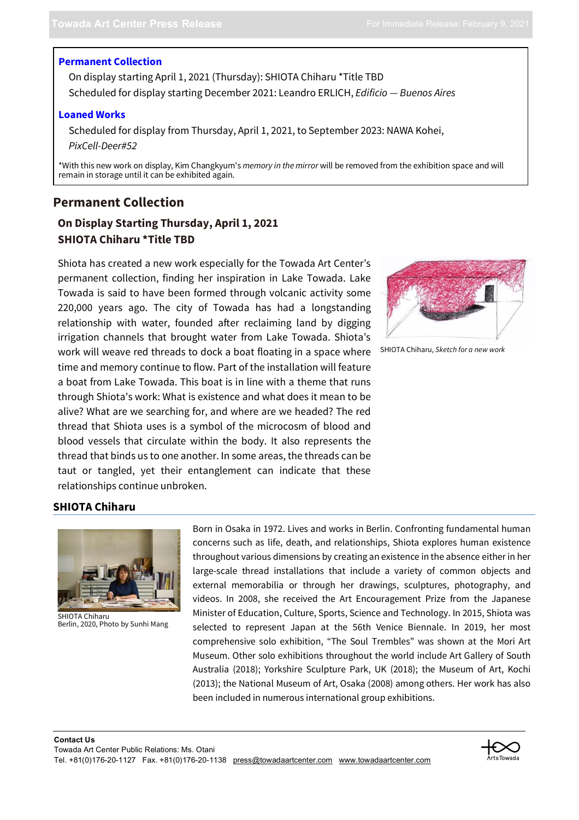#### **Permanent Collection**

On display starting April 1, 2021 (Thursday): SHIOTA Chiharu \*Title TBD Scheduled for display starting December 2021: Leandro ERLICH, *Edificio — Buenos Aires*

#### **Loaned Works**

Scheduled for display from Thursday, April 1, 2021, to September 2023: NAWA Kohei, *PixCell-Deer#52*

\*With this new work on display, Kim Changkyum's *memory in the mirror* will be removed from the exhibition space and will remain in storage until it can be exhibited again.

## **Permanent Collection**

## **On Display Starting Thursday, April 1, 2021 SHIOTA Chiharu \*Title TBD**

Shiota has created a new work especially for the Towada Art Center's permanent collection, finding her inspiration in Lake Towada. Lake Towada is said to have been formed through volcanic activity some 220,000 years ago. The city of Towada has had a longstanding relationship with water, founded after reclaiming land by digging irrigation channels that brought water from Lake Towada. Shiota's work will weave red threads to dock a boat floating in a space where time and memory continue to flow. Part of the installation will feature a boat from Lake Towada. This boat is in line with a theme that runs through Shiota's work: What is existence and what does it mean to be alive? What are we searching for, and where are we headed? The red thread that Shiota uses is a symbol of the microcosm of blood and blood vessels that circulate within the body. It also represents the thread that binds us to one another. In some areas, the threads can be taut or tangled, yet their entanglement can indicate that these relationships continue unbroken.



```
SHIOTA Chiharu, Sketch for a new work
```
### **SHIOTA Chiharu**



SHIOTA Chiharu Berlin, 2020, Photo by Sunhi Mang

Born in Osaka in 1972. Lives and works in Berlin. Confronting fundamental human concerns such as life, death, and relationships, Shiota explores human existence throughout various dimensions by creating an existence in the absence either in her large-scale thread installations that include a variety of common objects and external memorabilia or through her drawings, sculptures, photography, and videos. In 2008, she received the Art Encouragement Prize from the Japanese Minister of Education, Culture, Sports, Science and Technology. In 2015, Shiota was selected to represent Japan at the 56th Venice Biennale. In 2019, her most comprehensive solo exhibition, "The Soul Trembles" was shown at the Mori Art Museum. Other solo exhibitions throughout the world include Art Gallery of South Australia (2018); Yorkshire Sculpture Park, UK (2018); the Museum of Art, Kochi (2013); the National Museum of Art, Osaka (2008) among others. Her work has also been included in numerous international group exhibitions.

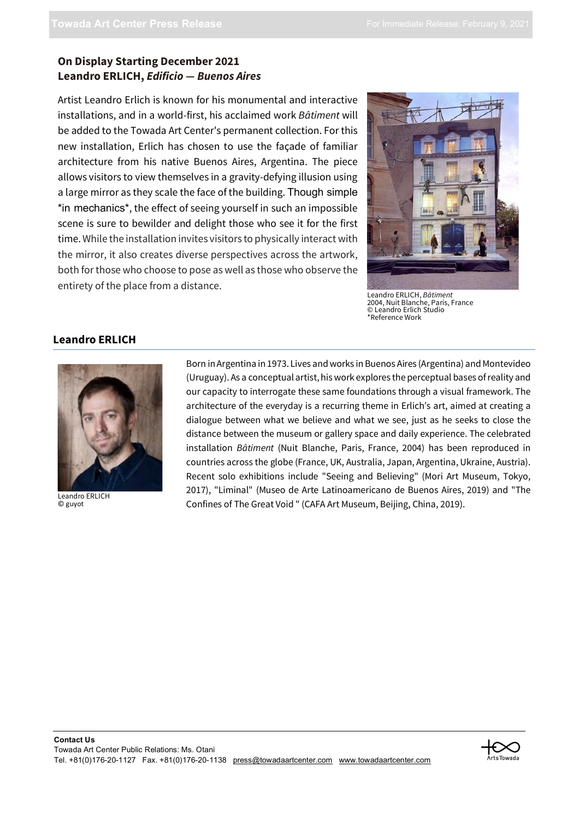## **On Display Starting December 2021 Leandro ERLICH,** *Edificio — Buenos Aires*

Artist Leandro Erlich is known for his monumental and interactive installations, and in a world-first, his acclaimed work *Bâtiment* will be added to the Towada Art Center's permanent collection. For this new installation, Erlich has chosen to use the façade of familiar architecture from his native Buenos Aires, Argentina. The piece allows visitors to view themselves in a gravity-defying illusion using a large mirror as they scale the face of the building. Though simple \*in mechanics\*, the effect of seeing yourself in such an impossible scene is sure to bewilder and delight those who see it for the first time. While the installation invites visitors to physically interact with the mirror, it also creates diverse perspectives across the artwork, both for those who choose to pose as well as those who observe the entirety of the place from a distance. Leandro ERLICH, *Bâtiment*



2004, Nuit Blanche, Paris, France © Leandro Erlich Studio \*Reference Work

### **Leandro ERLICH**



Leandro ERLICH © guyot

Born in Argentina in 1973. Lives and works in Buenos Aires (Argentina) and Montevideo (Uruguay). As a conceptual artist, his work explores the perceptual bases of reality and our capacity to interrogate these same foundations through a visual framework. The architecture of the everyday is a recurring theme in Erlich's art, aimed at creating a dialogue between what we believe and what we see, just as he seeks to close the distance between the museum or gallery space and daily experience. The celebrated installation *Bâtiment* (Nuit Blanche, Paris, France, 2004) has been reproduced in countries across the globe (France, UK, Australia, Japan, Argentina, Ukraine, Austria). Recent solo exhibitions include "Seeing and Believing" (Mori Art Museum, Tokyo, 2017), "Liminal" (Museo de Arte Latinoamericano de Buenos Aires, 2019) and "The Confines of The Great Void " (CAFA Art Museum, Beijing, China, 2019).

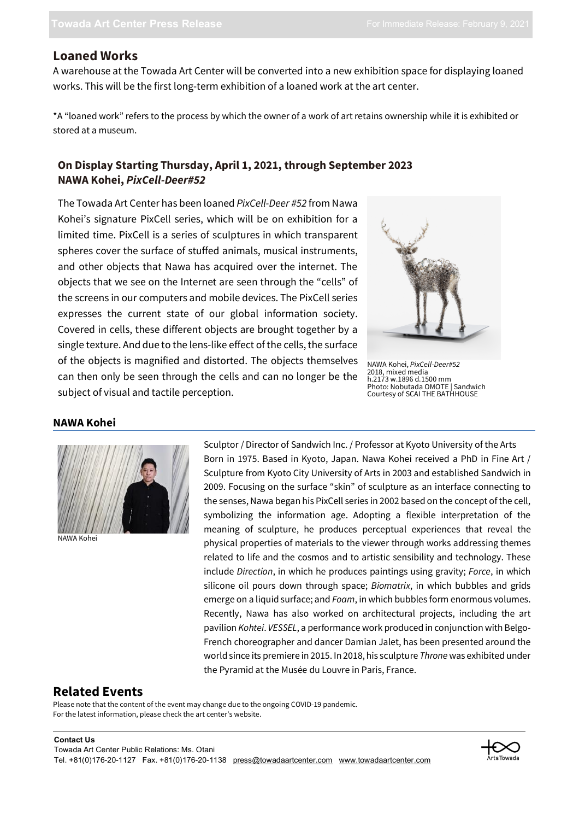## **Loaned Works**

A warehouse at the Towada Art Center will be converted into a new exhibition space for displaying loaned works. This will be the first long-term exhibition of a loaned work at the art center.

\*A "loaned work" refers to the process by which the owner of a work of art retains ownership while it is exhibited or stored at a museum.

## **On Display Starting Thursday, April 1, 2021, through September 2023 NAWA Kohei,** *PixCell-Deer#52*

The Towada Art Center has been loaned *PixCell-Deer #52* from Nawa Kohei's signature PixCell series, which will be on exhibition for a limited time. PixCell is a series of sculptures in which transparent spheres cover the surface of stuffed animals, musical instruments, and other objects that Nawa has acquired over the internet. The objects that we see on the Internet are seen through the "cells" of the screens in our computers and mobile devices. The PixCell series expresses the current state of our global information society. Covered in cells, these different objects are brought together by a single texture. And due to the lens-like effect of the cells, the surface of the objects is magnified and distorted. The objects themselves can then only be seen through the cells and can no longer be the subject of visual and tactile perception.



NAWA Kohei, *PixCell-Deer#52* 2018, mixed media h.2173 w.1896 d.1500 mm Photo: Nobutada OMOTE | Sandwich Courtesy of SCAI THE BATHHOUSE

#### **NAWA Kohei**



NAWA Kohei

Sculptor / Director of Sandwich Inc. / Professor at Kyoto University of the Arts Born in 1975. Based in Kyoto, Japan. Nawa Kohei received a PhD in Fine Art / Sculpture from Kyoto City University of Arts in 2003 and established Sandwich in 2009. Focusing on the surface "skin" of sculpture as an interface connecting to the senses, Nawa began his PixCell series in 2002 based on the concept of the cell, symbolizing the information age. Adopting a flexible interpretation of the meaning of sculpture, he produces perceptual experiences that reveal the physical properties of materials to the viewer through works addressing themes related to life and the cosmos and to artistic sensibility and technology. These include *Direction*, in which he produces paintings using gravity; *Force*, in which silicone oil pours down through space; *Biomatrix*, in which bubbles and grids emerge on a liquid surface; and *Foam*, in which bubbles form enormous volumes. Recently, Nawa has also worked on architectural projects, including the art pavilion *Kohtei*. *VESSEL*, a performance work produced in conjunction with Belgo-French choreographer and dancer Damian Jalet, has been presented around the world since its premiere in 2015. In 2018, his sculpture *Throne* was exhibited under the Pyramid at the Musée du Louvre in Paris, France.

## **Related Events**

Please note that the content of the event may change due to the ongoing COVID-19 pandemic. For the latest information, please check the art center's website.

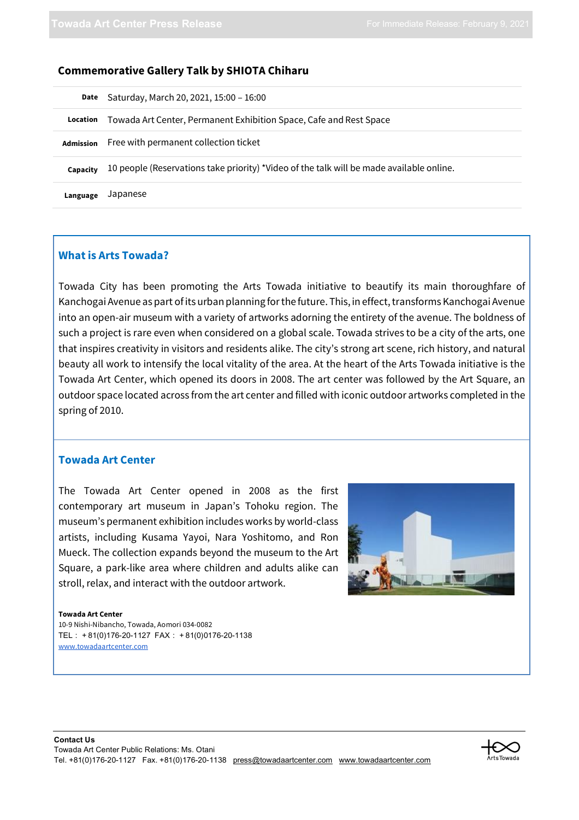| <b>Commemorative Gallery Talk by SHIOTA Chiharu</b> |  |  |  |  |
|-----------------------------------------------------|--|--|--|--|
|-----------------------------------------------------|--|--|--|--|

| Date             | Saturday, March 20, 2021, 15:00 - 16:00                                                  |
|------------------|------------------------------------------------------------------------------------------|
| Location         | Towada Art Center, Permanent Exhibition Space, Cafe and Rest Space                       |
| <b>Admission</b> | Free with permanent collection ticket                                                    |
| Capacity         | 10 people (Reservations take priority) *Video of the talk will be made available online. |
| Language         | Japanese                                                                                 |

#### **What is Arts Towada?**

Towada City has been promoting the Arts Towada initiative to beautify its main thoroughfare of Kanchogai Avenue as part of its urban planning for the future. This, in effect, transforms Kanchogai Avenue into an open-air museum with a variety of artworks adorning the entirety of the avenue. The boldness of such a project is rare even when considered on a global scale. Towada strives to be a city of the arts, one that inspires creativity in visitors and residents alike. The city's strong art scene, rich history, and natural beauty all work to intensify the local vitality of the area. At the heart of the Arts Towada initiative is the Towada Art Center, which opened its doors in 2008. The art center was followed by the Art Square, an outdoor space located across from the art center and filled with iconic outdoor artworks completed in the spring of 2010.

#### **Towada Art Center**

The Towada Art Center opened in 2008 as the first contemporary art museum in Japan's Tohoku region. The museum's permanent exhibition includes works by world-class artists, including Kusama Yayoi, Nara Yoshitomo, and Ron Mueck. The collection expands beyond the museum to the Art Square, a park-like area where children and adults alike can stroll, relax, and interact with the outdoor artwork.



#### **Towada Art Center**

10-9 Nishi-Nibancho, Towada, Aomori 034-0082 TEL:+81(0)176-20-1127 FAX:+81(0)0176-20-1138 www.towadaartcenter.com